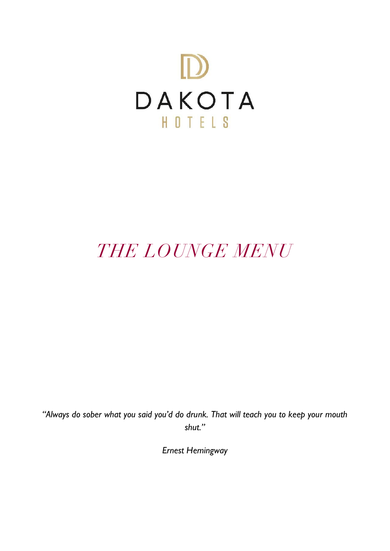

# *THE LOUNGE MENU*

*"Always do sober what you said you'd do drunk. That will teach you to keep your mouth shut."*

*Ernest Hemingway*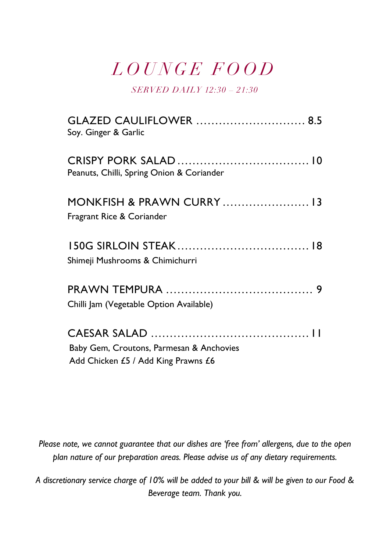### *L O U N G E F O O D*

*SERVED DAILY 12:30 – 21:30*

| <b>GLAZED CAULIFLOWER</b> 8.5<br>Soy. Ginger & Garlic                           |
|---------------------------------------------------------------------------------|
| Peanuts, Chilli, Spring Onion & Coriander                                       |
| MONKFISH & PRAWN CURRY  13<br>Fragrant Rice & Coriander                         |
| Shimeji Mushrooms & Chimichurri                                                 |
| Chilli Jam (Vegetable Option Available)                                         |
| Baby Gem, Croutons, Parmesan & Anchovies<br>Add Chicken £5 / Add King Prawns £6 |

*Please note, we cannot guarantee that our dishes are 'free from' allergens, due to the open plan nature of our preparation areas. Please advise us of any dietary requirements.*

*A discretionary service charge of 10% will be added to your bill & will be given to our Food & Beverage team. Thank you.*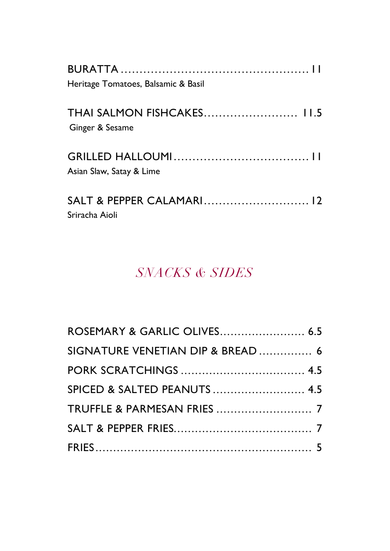| Heritage Tomatoes, Balsamic & Basil                  |
|------------------------------------------------------|
| <b>THAI SALMON FISHCAKES 11.5</b><br>Ginger & Sesame |
| Asian Slaw, Satay & Lime                             |
| Sriracha Aioli                                       |

### *SNACKS & SIDES*

| ROSEMARY & GARLIC OLIVES 6.5      |  |
|-----------------------------------|--|
| SIGNATURE VENETIAN DIP & BREAD  6 |  |
|                                   |  |
| SPICED & SALTED PEANUTS  4.5      |  |
|                                   |  |
|                                   |  |
|                                   |  |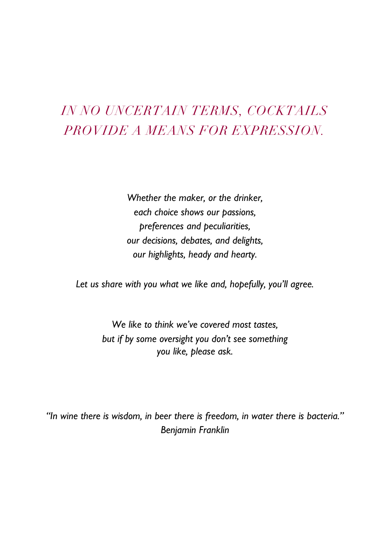### *IN NO UNCERTAIN TERMS, COCKTAILS PROVIDE A MEANS FOR EXPRESSION.*

*Whether the maker, or the drinker, each choice shows our passions, preferences and peculiarities, our decisions, debates, and delights, our highlights, heady and hearty.*

*Let us share with you what we like and, hopefully, you'll agree.*

*We like to think we've covered most tastes, but if by some oversight you don't see something you like, please ask.*

*"In wine there is wisdom, in beer there is freedom, in water there is bacteria." Benjamin Franklin*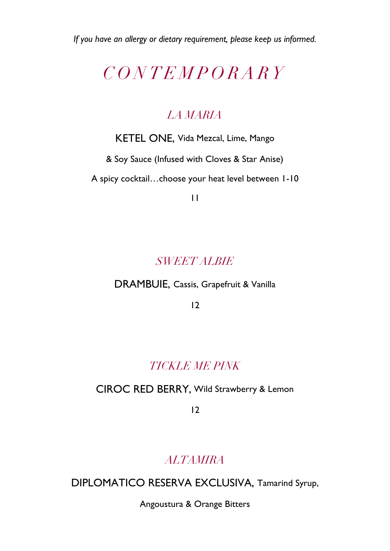*If you have an allergy or dietary requirement, please keep us informed.*

### *C O N T E M P O R A R Y*

#### *LA MARIA*

KETEL ONE, Vida Mezcal, Lime, Mango

& Soy Sauce (Infused with Cloves & Star Anise)

A spicy cocktail…choose your heat level between 1-10

11

#### *SWEET ALBIE*

#### DRAMBUIE, Cassis, Grapefruit & Vanilla

12

#### *TICKLE ME PINK*

#### CIROC RED BERRY, Wild Strawberry & Lemon

12

#### *ALTAMIRA*

DIPLOMATICO RESERVA EXCLUSIVA, Tamarind Syrup,

Angoustura & Orange Bitters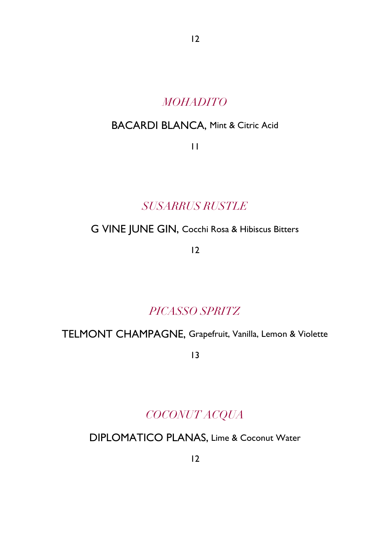#### *MOHADITO*

12

#### BACARDI BLANCA, Mint & Citric Acid

11

#### *SUSARRUS RUSTLE*

#### G VINE JUNE GIN, Cocchi Rosa & Hibiscus Bitters

12

#### *PICASSO SPRITZ*

#### TELMONT CHAMPAGNE, Grapefruit, Vanilla, Lemon & Violette

13

#### *COCONUT ACQUA*

#### DIPLOMATICO PLANAS, Lime & Coconut Water

12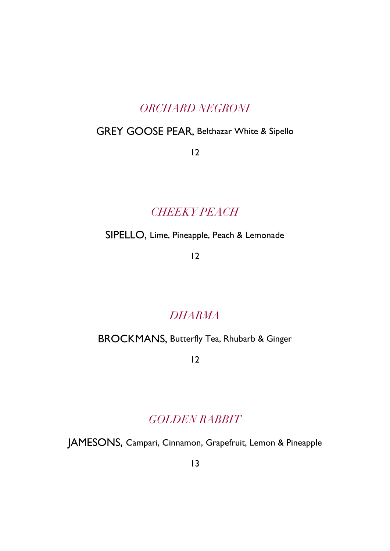#### *ORCHARD NEGRONI*

#### GREY GOOSE PEAR, Belthazar White & Sipello

12

#### *CHEEKY PEACH*

SIPELLO, Lime, Pineapple, Peach & Lemonade

12

#### *DHARMA*

#### BROCKMANS, Butterfly Tea, Rhubarb & Ginger

12

#### *GOLDEN RABBIT*

JAMESONS, Campari, Cinnamon, Grapefruit, Lemon & Pineapple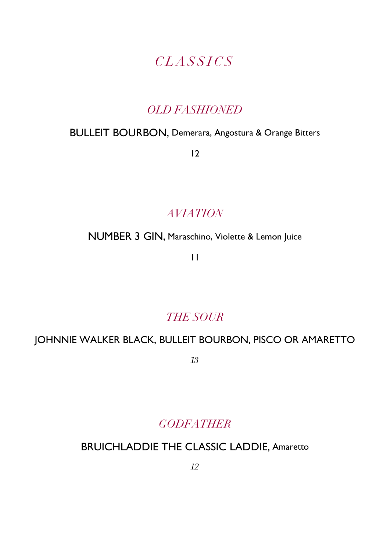#### *C L A S S I C S*

#### *OLD FASHIONED*

#### BULLEIT BOURBON, Demerara, Angostura & Orange Bitters

12

#### *AVIATION*

NUMBER 3 GIN, Maraschino, Violette & Lemon Juice

11

#### *THE SOUR*

#### JOHNNIE WALKER BLACK, BULLEIT BOURBON, PISCO OR AMARETTO

*13*

#### *GODFATHER*

#### BRUICHLADDIE THE CLASSIC LADDIE, Amaretto

*12*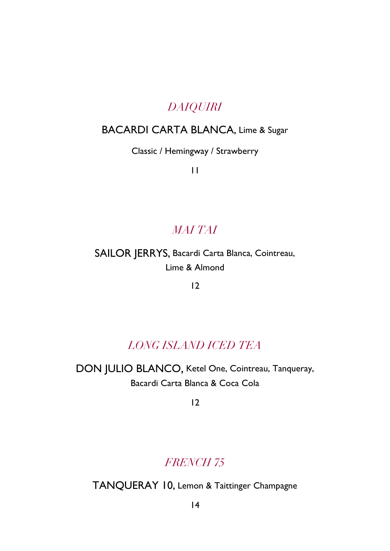#### *DAIQUIRI*

#### BACARDI CARTA BLANCA, Lime & Sugar

Classic / Hemingway / Strawberry

11

#### *MAI TAI*

#### SAILOR JERRYS, Bacardi Carta Blanca, Cointreau, Lime & Almond

12

#### *LONG ISLAND ICED TEA*

DON JULIO BLANCO, Ketel One, Cointreau, Tanqueray, Bacardi Carta Blanca & Coca Cola

12

#### *FRENCH 75*

TANQUERAY 10, Lemon & Taittinger Champagne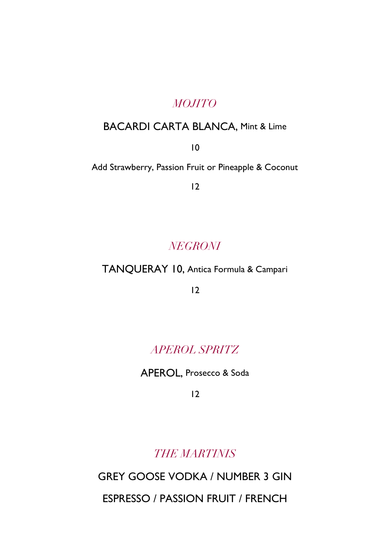#### *MOJITO*

#### BACARDI CARTA BLANCA, Mint & Lime

10

Add Strawberry, Passion Fruit or Pineapple & Coconut

12

#### *NEGRONI*

#### TANQUERAY 10, Antica Formula & Campari

12

#### *APEROL SPRITZ*

APEROL, Prosecco & Soda

12

*THE MARTINIS*

GREY GOOSE VODKA / NUMBER 3 GIN

ESPRESSO / PASSION FRUIT / FRENCH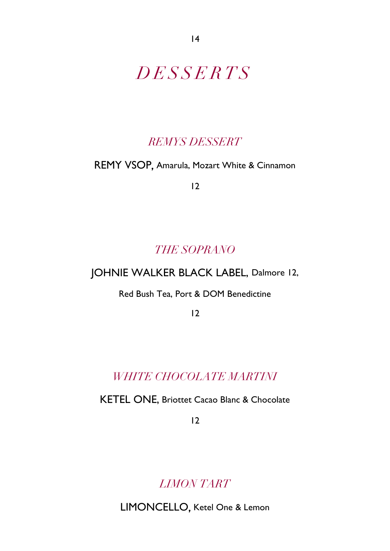### *D E S S E R T S*

#### *REMYS DESSERT*

#### REMY VSOP, Amarula, Mozart White & Cinnamon

12

#### *THE SOPRANO*

#### JOHNIE WALKER BLACK LABEL, Dalmore 12,

Red Bush Tea, Port & DOM Benedictine

12

#### *WHITE CHOCOLATE MARTINI*

KETEL ONE, Briottet Cacao Blanc & Chocolate

12

*LIMON TART*

LIMONCELLO, Ketel One & Lemon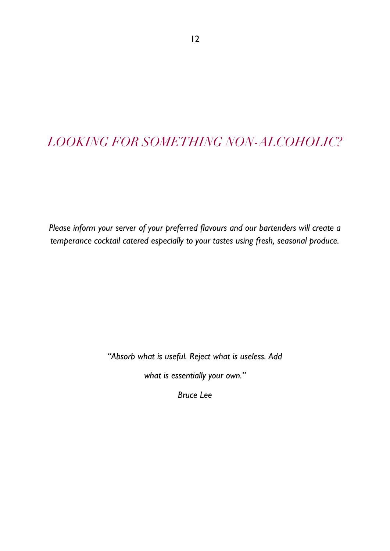#### *LOOKING FOR SOMETHING NON-ALCOHOLIC?*

*Please inform your server of your preferred flavours and our bartenders will create a temperance cocktail catered especially to your tastes using fresh, seasonal produce.*

*"Absorb what is useful. Reject what is useless. Add* 

*what is essentially your own."* 

*Bruce Lee*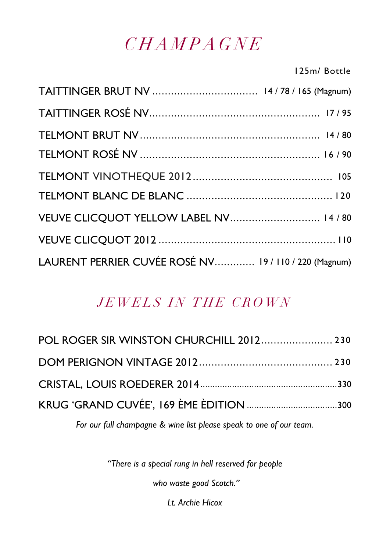### *C H A M P A G N E*

125m/ Bottle

| VEUVE CLICQUOT YELLOW LABEL NV 14 / 80                |  |
|-------------------------------------------------------|--|
|                                                       |  |
| LAURENT PERRIER CUVÉE ROSÉ NV 19 / 110 / 220 (Magnum) |  |

#### *JEWELS IN THE CROWN*

| POL ROGER SIR WINSTON CHURCHILL 2012 230 |
|------------------------------------------|
|                                          |
|                                          |
|                                          |
|                                          |

*For our full champagne & wine list please speak to one of our team.*

*"There is a special rung in hell reserved for people*

*who waste good Scotch."* 

*Lt. Archie Hicox*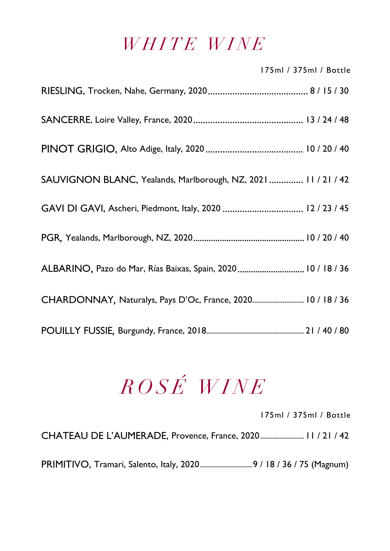### *WHITE WINE*

|                                                               | 175ml / 375ml / Bottle |
|---------------------------------------------------------------|------------------------|
|                                                               |                        |
|                                                               |                        |
|                                                               |                        |
| SAUVIGNON BLANC, Yealands, Marlborough, NZ, 2021 11 / 21 / 42 |                        |
|                                                               |                        |
|                                                               |                        |
| ALBARINO, Pazo do Mar, Rías Baixas, Spain, 2020  10 / 18 / 36 |                        |
| CHARDONNAY, Naturalys, Pays D'Oc, France, 2020 10 / 18 / 36   |                        |
|                                                               |                        |

# *R O S É W I N E*

175ml / 375ml / Bottle

CHATEAU DE L'AUMERADE, Provence, France, 2020...................... 11 / 21 / 42

PRIMITIVO, Tramari, Salento, Italy, 2020...........................9 / 18 / 36 / 75 (Magnum)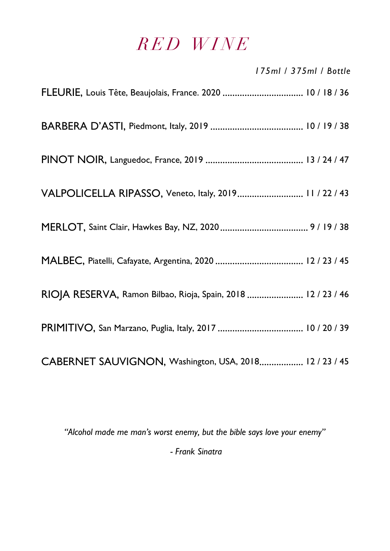### *R E D W I N E*

|                                                               | 175ml / 375ml / Bottle |
|---------------------------------------------------------------|------------------------|
|                                                               |                        |
|                                                               |                        |
|                                                               |                        |
| VALPOLICELLA RIPASSO, Veneto, Italy, 2019 11 / 22 / 43        |                        |
|                                                               |                        |
|                                                               |                        |
| RIOJA RESERVA, Ramon Bilbao, Rioja, Spain, 2018  12 / 23 / 46 |                        |
|                                                               |                        |
| CABERNET SAUVIGNON, Washington, USA, 2018 12 / 23 / 45        |                        |

*"Alcohol made me man's worst enemy, but the bible says love your enemy"*

*- Frank Sinatra*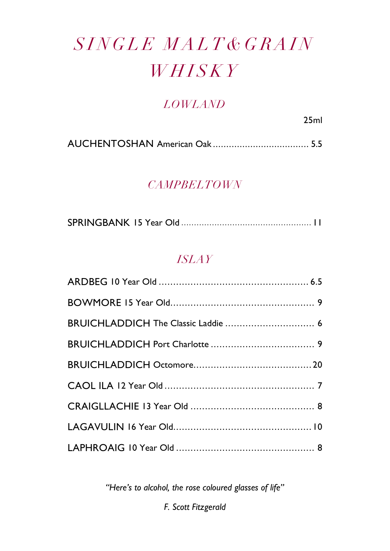# $SINGLE$  MALT & GRAIN *W H I S K Y*

#### *LOWLAND*

25ml

AUCHENTOSHAN American Oak *....................................* 5.5

#### *CAMPBELTOWN*

|--|--|--|

#### *ISLAY*

*"Here's to alcohol, the rose coloured glasses of life"*

*F. Scott Fitzgerald*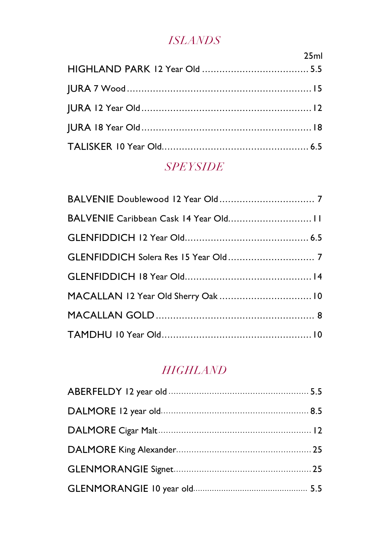#### *ISLANDS*

| <u>na mga 1989 - Ang pangalang pangalang pang</u> |
|---------------------------------------------------|
|                                                   |
|                                                   |
|                                                   |
|                                                   |
|                                                   |
|                                                   |

#### *SPEYSIDE*

#### *HIGHLAND*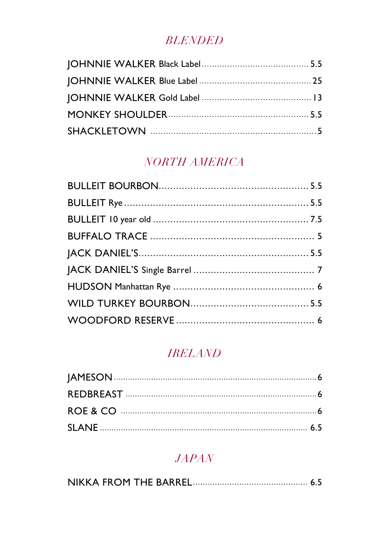#### **BLENDED**

#### NORTH AMERICA

#### **IRELAND**

#### $JAPAN$

|--|--|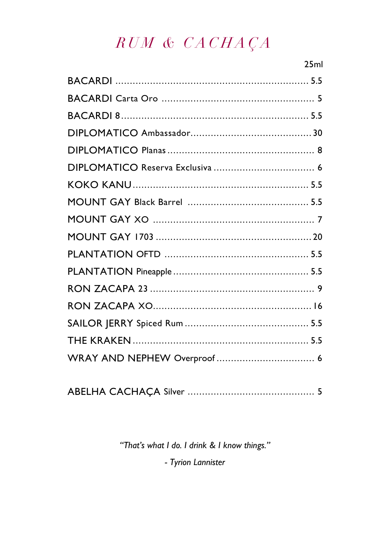### RUM & CACHAÇA

| 25ml |
|------|
|      |
|      |
|      |
|      |
|      |
|      |
|      |
|      |
|      |
|      |
|      |
|      |
|      |
|      |
|      |
|      |
|      |
|      |

|--|--|

"That's what I do. I drink & I know things."

- Tyrion Lannister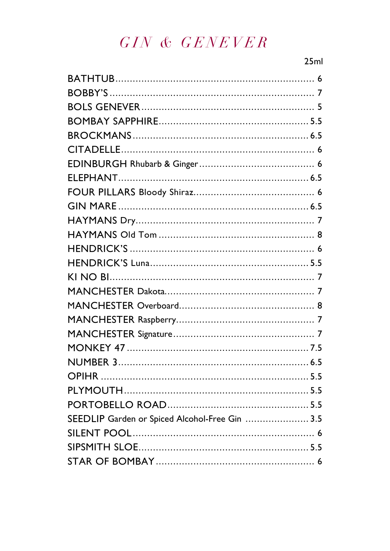### GIN & GENEVER

| SEEDLIP Garden or Spiced Alcohol-Free Gin  3.5 |  |
|------------------------------------------------|--|
|                                                |  |
|                                                |  |
|                                                |  |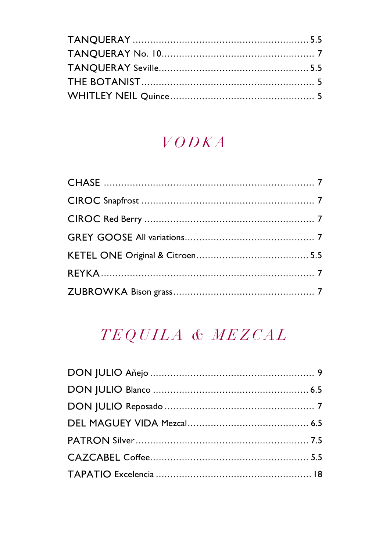### $VODKA$

### TEQUILA & MEZCAL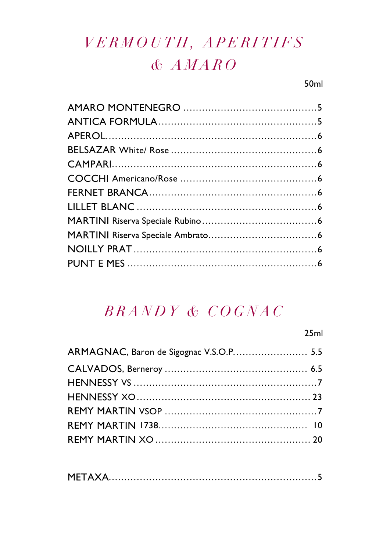### VERMOUTH, APERITIFS  $A M A R O$

### BRANDY & COGNAC

|                                         | 25ml |
|-----------------------------------------|------|
| ARMAGNAC, Baron de Sigognac V.S.O.P 5.5 |      |
|                                         |      |
|                                         |      |
|                                         |      |
|                                         |      |
|                                         |      |
|                                         |      |

|--|--|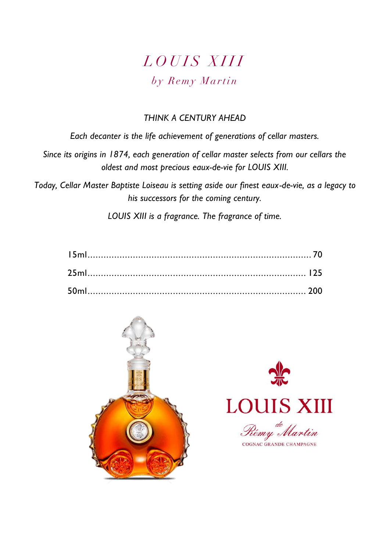### *L O U I S X I I I*  $b<sub>y</sub>$  Remy Martin

#### *THINK A CENTURY AHEAD*

*Each decanter is the life achievement of generations of cellar masters.*

*Since its origins in 1874, each generation of cellar master selects from our cellars the oldest and most precious eaux-de-vie for LOUIS XIII.*

*Today, Cellar Master Baptiste Loiseau is setting aside our finest eaux-de-vie, as a legacy to his successors for the coming century.*

*LOUIS XIII is a fragrance. The fragrance of time.*





COGNAC GRANDE CHAMPAGNE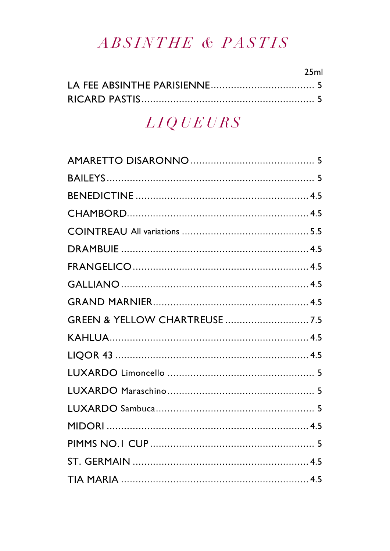### ABSINTHE & PASTIS

| 25ml |
|------|
|      |
|      |

### $LIQUEURS$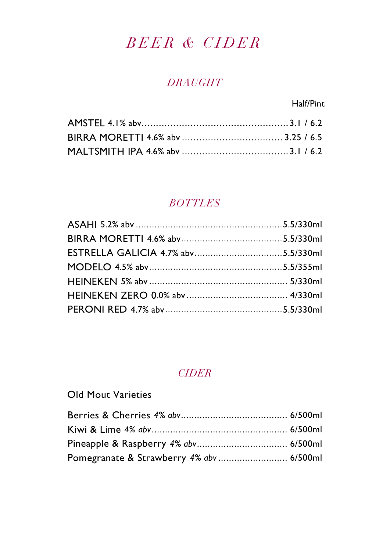### *B E E R & C I D E R*

#### *DRAUGHT*

Half/Pint

#### *BOTTLES*

#### *CIDER*

#### Old Mout Varieties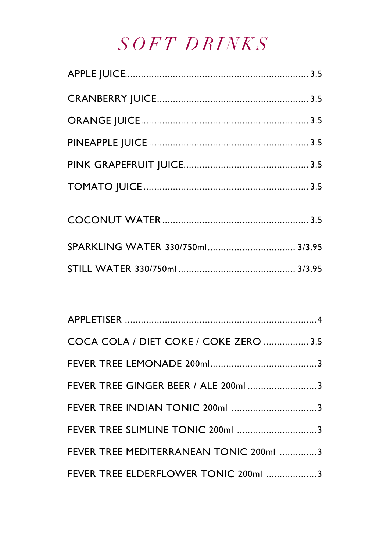## *S O F T D R I N K S*

| SPARKLING WATER 330/750ml 3/3.95 |  |
|----------------------------------|--|
|                                  |  |

| COCA COLA / DIET COKE / COKE ZERO  3.5 |  |
|----------------------------------------|--|
|                                        |  |
| FEVER TREE GINGER BEER / ALE 200ml 3   |  |
|                                        |  |
| FEVER TREE SLIMLINE TONIC 200ml 3      |  |
| FEVER TREE MEDITERRANEAN TONIC 200ml 3 |  |
| FEVER TREE ELDERFLOWER TONIC 200ml 3   |  |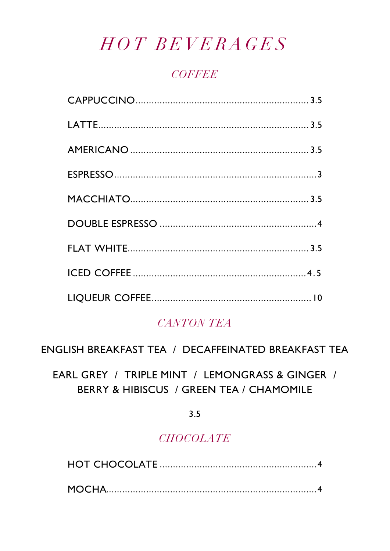### HOT BEVERAGES

#### **COFFEE**

#### **CANTON TEA**

ENGLISH BREAKFAST TEA / DECAFFEINATED BREAKFAST TEA

EARL GREY / TRIPLE MINT / LEMONGRASS & GINGER / BERRY & HIBISCUS / GREEN TEA / CHAMOMILE

 $3.5$ 

#### **CHOCOLATE**

|--|--|--|--|

|--|--|